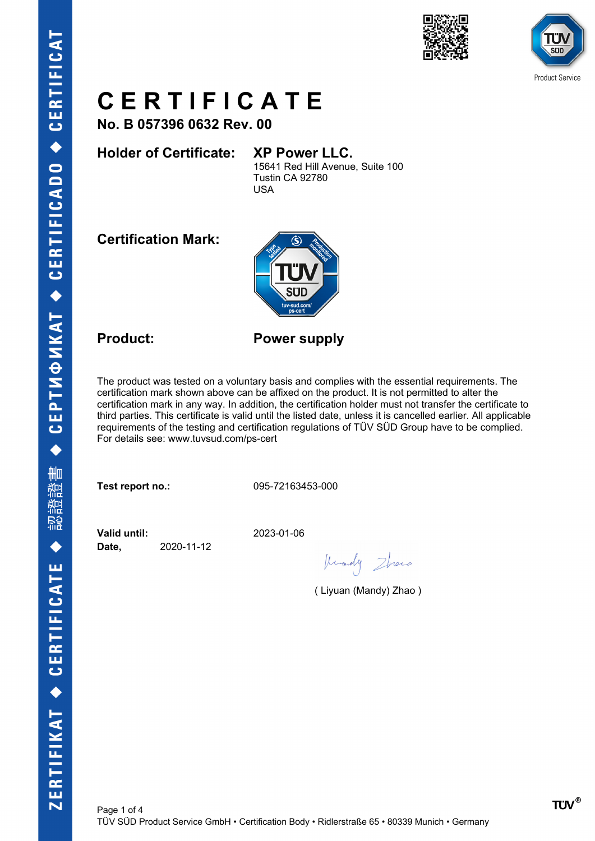



**No. B 057396 0632 Rev. 00**

### **Holder of Certificate: XP Power LLC.**

15641 Red Hill Avenue, Suite 100 Tustin CA 92780 USA

**Certification Mark:**



**Product: Power supply**

The product was tested on a voluntary basis and complies with the essential requirements. The certification mark shown above can be affixed on the product. It is not permitted to alter the certification mark in any way. In addition, the certification holder must not transfer the certificate to third parties. This certificate is valid until the listed date, unless it is cancelled earlier. All applicable requirements of the testing and certification regulations of TÜV SÜD Group have to be complied. For details see: www.tuvsud.com/ps-cert

**Test report no.:** 095-72163453-000

**Valid until:** 2023-01-06 **Date,** 2020-11-12

Knowly Zhono

( Liyuan (Mandy) Zhao )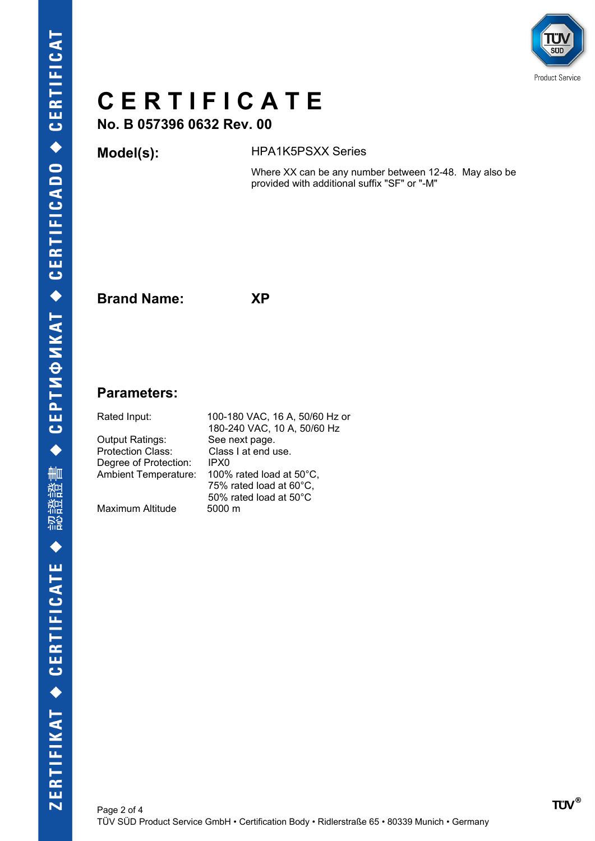

**No. B 057396 0632 Rev. 00**

### **Model(s):** HPA1K5PSXX Series

Where XX can be any number between 12-48. May also be provided with additional suffix "SF" or "-M"

**Brand Name: XP**

### **Parameters:**

Output Ratings: See next page. Protection Class: Class I at end use. Degree of Protection: IPX0

Maximum Altitude

Rated Input: 100-180 VAC, 16 A, 50/60 Hz or 180-240 VAC, 10 A, 50/60 Hz Ambient Temperature: 100% rated load at 50°C, 75% rated load at 60°C, 50% rated load at 50°C<br>5000 m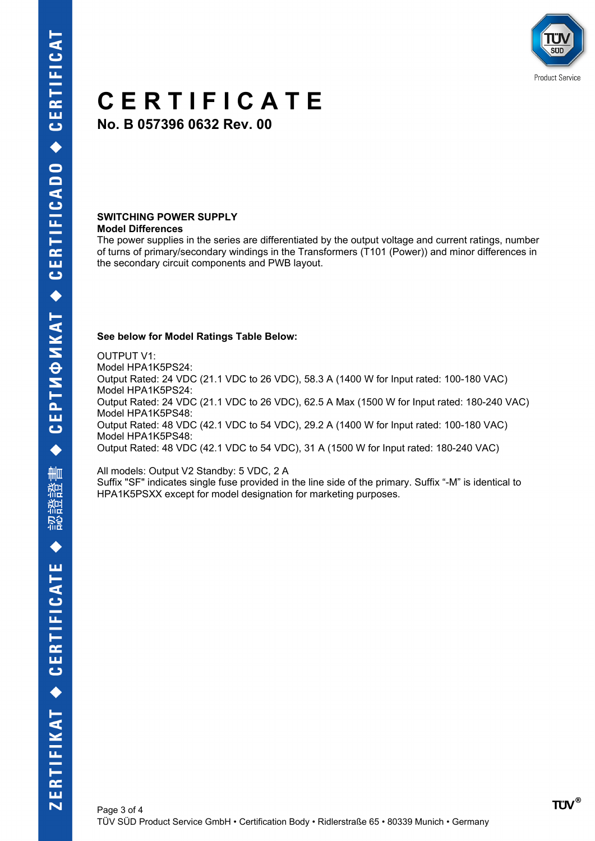

**No. B 057396 0632 Rev. 00**

#### **SWITCHING POWER SUPPLY Model Differences**

The power supplies in the series are differentiated by the output voltage and current ratings, number of turns of primary/secondary windings in the Transformers (T101 (Power)) and minor differences in the secondary circuit components and PWB layout.

#### **See below for Model Ratings Table Below:**

OUTPUT V1: Model HPA1K5PS24: Output Rated: 24 VDC (21.1 VDC to 26 VDC), 58.3 A (1400 W for Input rated: 100-180 VAC) Model HPA1K5PS24: Output Rated: 24 VDC (21.1 VDC to 26 VDC), 62.5 A Max (1500 W for Input rated: 180-240 VAC) Model HPA1K5PS48: Output Rated: 48 VDC (42.1 VDC to 54 VDC), 29.2 A (1400 W for Input rated: 100-180 VAC) Model HPA1K5PS48: Output Rated: 48 VDC (42.1 VDC to 54 VDC), 31 A (1500 W for Input rated: 180-240 VAC)

All models: Output V2 Standby: 5 VDC, 2 A Suffix "SF" indicates single fuse provided in the line side of the primary. Suffix "-M" is identical to HPA1K5PSXX except for model designation for marketing purposes.